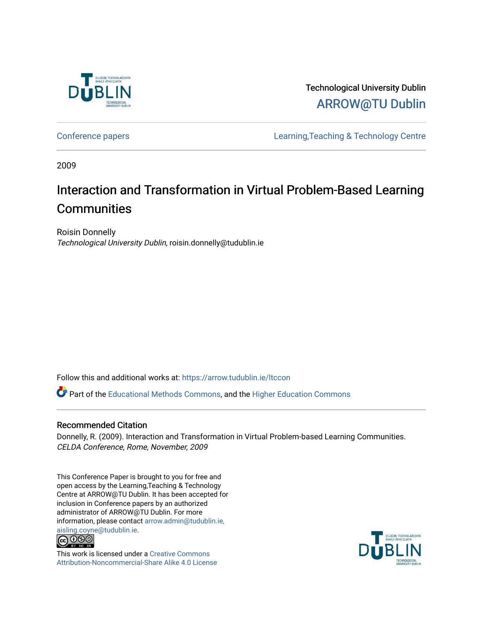

Technological University Dublin [ARROW@TU Dublin](https://arrow.tudublin.ie/) 

[Conference papers](https://arrow.tudublin.ie/ltccon) [Learning,Teaching & Technology Centre](https://arrow.tudublin.ie/ltc) 

2009

# Interaction and Transformation in Virtual Problem-Based Learning **Communities**

Roisin Donnelly Technological University Dublin, roisin.donnelly@tudublin.ie

Follow this and additional works at: [https://arrow.tudublin.ie/ltccon](https://arrow.tudublin.ie/ltccon?utm_source=arrow.tudublin.ie%2Fltccon%2F29&utm_medium=PDF&utm_campaign=PDFCoverPages)

Part of the [Educational Methods Commons,](http://network.bepress.com/hgg/discipline/1227?utm_source=arrow.tudublin.ie%2Fltccon%2F29&utm_medium=PDF&utm_campaign=PDFCoverPages) and the [Higher Education Commons](http://network.bepress.com/hgg/discipline/1245?utm_source=arrow.tudublin.ie%2Fltccon%2F29&utm_medium=PDF&utm_campaign=PDFCoverPages) 

## Recommended Citation

Donnelly, R. (2009). Interaction and Transformation in Virtual Problem-based Learning Communities. CELDA Conference, Rome, November, 2009

This Conference Paper is brought to you for free and open access by the Learning,Teaching & Technology Centre at ARROW@TU Dublin. It has been accepted for inclusion in Conference papers by an authorized administrator of ARROW@TU Dublin. For more information, please contact [arrow.admin@tudublin.ie,](mailto:arrow.admin@tudublin.ie,%20aisling.coyne@tudublin.ie)  [aisling.coyne@tudublin.ie.](mailto:arrow.admin@tudublin.ie,%20aisling.coyne@tudublin.ie)<br>© 090



This work is licensed under a [Creative Commons](http://creativecommons.org/licenses/by-nc-sa/4.0/) [Attribution-Noncommercial-Share Alike 4.0 License](http://creativecommons.org/licenses/by-nc-sa/4.0/)

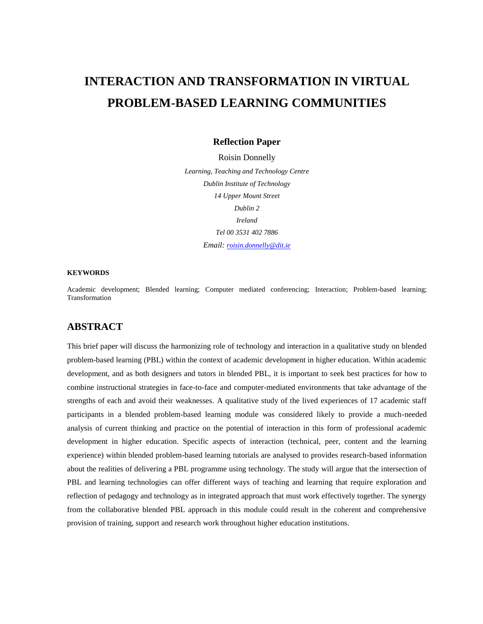## **INTERACTION AND TRANSFORMATION IN VIRTUAL PROBLEM-BASED LEARNING COMMUNITIES**

### **Reflection Paper**

Roisin Donnelly *Learning, Teaching and Technology Centre Dublin Institute of Technology 14 Upper Mount Street Dublin 2 Ireland Tel 00 3531 402 7886 Email: [roisin.donnelly@dit.ie](mailto:roisin.donnelly@dit.ie)*

#### **KEYWORDS**

Academic development; Blended learning; Computer mediated conferencing; Interaction; Problem-based learning; Transformation

## **ABSTRACT**

This brief paper will discuss the harmonizing role of technology and interaction in a qualitative study on blended problem-based learning (PBL) within the context of academic development in higher education. Within academic development, and as both designers and tutors in blended PBL, it is important to seek best practices for how to combine instructional strategies in face-to-face and computer-mediated environments that take advantage of the strengths of each and avoid their weaknesses. A qualitative study of the lived experiences of 17 academic staff participants in a blended problem-based learning module was considered likely to provide a much-needed analysis of current thinking and practice on the potential of interaction in this form of professional academic development in higher education. Specific aspects of interaction (technical, peer, content and the learning experience) within blended problem-based learning tutorials are analysed to provides research-based information about the realities of delivering a PBL programme using technology. The study will argue that the intersection of PBL and learning technologies can offer different ways of teaching and learning that require exploration and reflection of pedagogy and technology as in integrated approach that must work effectively together. The synergy from the collaborative blended PBL approach in this module could result in the coherent and comprehensive provision of training, support and research work throughout higher education institutions.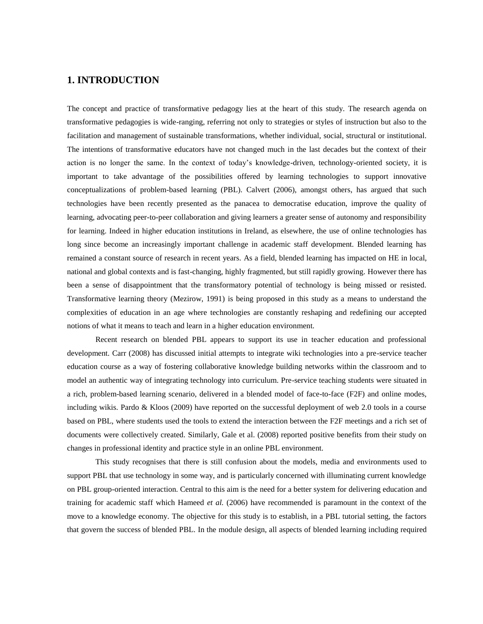### **1. INTRODUCTION**

The concept and practice of transformative pedagogy lies at the heart of this study. The research agenda on transformative pedagogies is wide-ranging, referring not only to strategies or styles of instruction but also to the facilitation and management of sustainable transformations, whether individual, social, structural or institutional. The intentions of transformative educators have not changed much in the last decades but the context of their action is no longer the same. In the context of today's knowledge-driven, technology-oriented society, it is important to take advantage of the possibilities offered by learning technologies to support innovative conceptualizations of problem-based learning (PBL). Calvert (2006), amongst others, has argued that such technologies have been recently presented as the panacea to democratise education, improve the quality of learning, advocating peer-to-peer collaboration and giving learners a greater sense of autonomy and responsibility for learning. Indeed in higher education institutions in Ireland, as elsewhere, the use of online technologies has long since become an increasingly important challenge in academic staff development. Blended learning has remained a constant source of research in recent years. As a field, blended learning has impacted on HE in local, national and global contexts and is fast-changing, highly fragmented, but still rapidly growing. However there has been a sense of disappointment that the transformatory potential of technology is being missed or resisted. Transformative learning theory (Mezirow, 1991) is being proposed in this study as a means to understand the complexities of education in an age where technologies are constantly reshaping and redefining our accepted notions of what it means to teach and learn in a higher education environment.

Recent research on blended PBL appears to support its use in teacher education and professional development. Carr (2008) has discussed initial attempts to integrate wiki technologies into a pre-service teacher education course as a way of fostering collaborative knowledge building networks within the classroom and to model an authentic way of integrating technology into curriculum. Pre-service teaching students were situated in a rich, problem-based learning scenario, delivered in a blended model of face-to-face (F2F) and online modes, including wikis. Pardo & Kloos (2009) have reported on the successful deployment of web 2.0 tools in a course based on PBL, where students used the tools to extend the interaction between the F2F meetings and a rich set of documents were collectively created. Similarly, Gale et al. (2008) reported positive benefits from their study on changes in professional identity and practice style in an online PBL environment.

This study recognises that there is still confusion about the models, media and environments used to support PBL that use technology in some way, and is particularly concerned with illuminating current knowledge on PBL group-oriented interaction. Central to this aim is the need for a better system for delivering education and training for academic staff which Hameed *et al.* (2006) have recommended is paramount in the context of the move to a knowledge economy. The objective for this study is to establish, in a PBL tutorial setting, the factors that govern the success of blended PBL. In the module design, all aspects of blended learning including required